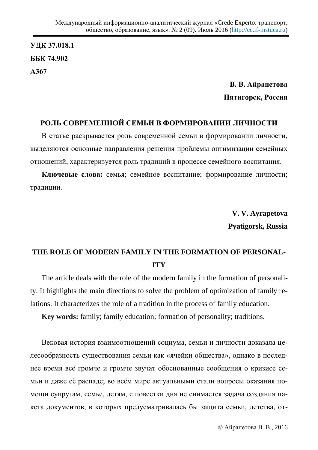УДК 37.018.1 **ȻȻɄ 74.902 Ⱥ367**

> В. В. Айрапетова Пятигорск, Россия

## РОЛЬ СОВРЕМЕННОЙ СЕМЬИ В ФОРМИРОВАНИИ ЛИЧНОСТИ

В статье раскрывается роль современной семьи в формировании личности, выделяются основные направления решения проблемы оптимизации семейных отношений, характеризуется роль традиций в процессе семейного воспитания.

Ключевые слова: семья; семейное воспитание; формирование личности; традиции.

> **V. V. Ayrapetova Pyatigorsk, Russia**

## **THE ROLE OF MODERN FAMILY IN THE FORMATION OF PERSONAL-ITY**

The article deals with the role of the modern family in the formation of personality. It highlights the main directions to solve the problem of optimization of family relations. It characterizes the role of a tradition in the process of family education.

**Key words:** family; family education; formation of personality; traditions.

Вековая история взаимоотношений социума, семьи и личности доказала целесообразность существования семьи как «ячейки общества», однако в последнее время всё громче и громче звучат обоснованные сообщения о кризисе семьи и даже её распаде; во всём мире актуальными стали вопросы оказания помощи супругам, семье, детям, с повестки дня не снимается задача создания пакета документов, в которых предусматривалась бы защита семьи, детства, от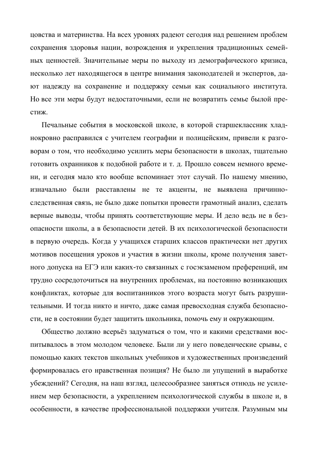цовства и материнства. На всех уровнях радеют сегодня над решением проблем сохранения здоровья нации, возрождения и укрепления традиционных семейных ценностей. Значительные меры по выходу из демографического кризиса, несколько лет находящегося в центре внимания законодателей и экспертов, дают надежду на сохранение и поддержку семьи как социального института. Но все эти меры будут недостаточными, если не возвратить семье былой престиж.

Печальные события в московской школе, в которой старшеклассник хладнокровно расправился с учителем географии и полицейским, привели к разговорам о том, что необходимо усилить меры безопасности в школах, тщательно готовить охранников к подобной работе и т. д. Прошло совсем немного времени, и сегодня мало кто вообще вспоминает этот случай. По нашему мнению, изначально были расставлены не те акценты, не выявлена причинноследственная связь, не было даже попытки провести грамотный анализ, сделать верные выводы, чтобы принять соответствующие меры. И дело ведь не в безопасности школы, а в безопасности детей. В их психологической безопасности в первую очередь. Когда у учащихся старших классов практически нет других мотивов посещения уроков и участия в жизни школы, кроме получения заветного допуска на ЕГЭ или каких-то связанных с госэкзаменом преференций, им трудно сосредоточиться на внутренних проблемах, на постоянно возникающих конфликтах, которые для воспитанников этого возраста могут быть разрушительными. И тогда никто и ничто, даже самая превосходная служба безопасности, не в состоянии будет защитить школьника, помочь ему и окружающим.

Общество должно всерьёз задуматься о том, что и какими средствами воспитывалось в этом молодом человеке. Были ли у него поведенческие срывы, с помощью каких текстов школьных учебников и художественных произведений формировалась его нравственная позиция? Не было ли упущений в выработке убеждений? Сегодня, на наш взгляд, целесообразнее заняться отнюдь не усилением мер безопасности, а укреплением психологической службы в школе и, в особенности, в качестве профессиональной поддержки учителя. Разумным мы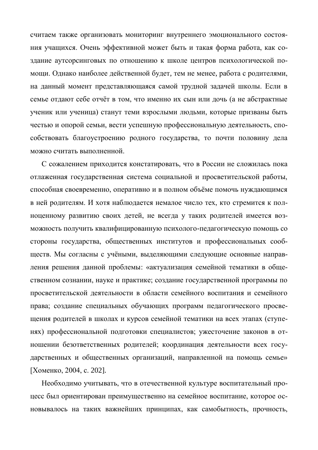считаем также организовать мониторинг внутреннего эмоционального состояния учащихся. Очень эффективной может быть и такая форма работа, как создание аутсорсинговых по отношению к школе центров психологической помощи. Однако наиболее действенной будет, тем не менее, работа с родителями, на данный момент представляющаяся самой трудной задачей школы. Если в семье отдают себе отчёт в том, что именно их сын или дочь (а не абстрактные ученик или ученица) станут теми взрослыми людьми, которые призваны быть честью и опорой семьи, вести успешную профессиональную деятельность, способствовать благоустроению родного государства, то почти половину дела можно считать выполненной.

С сожалением приходится констатировать, что в России не сложилась пока отлаженная государственная система социальной и просветительской работы, способная своевременно, оперативно и в полном объёме помочь нуждающимся в ней родителям. И хотя наблюдается немалое число тех, кто стремится к полноценному развитию своих детей, не всегда у таких родителей имеется возможность получить квалифицированную психолого-педагогическую помощь со стороны государства, общественных институтов и профессиональных сообществ. Мы согласны с учёными, выделяющими следующие основные направления решения данной проблемы: «актуализация семейной тематики в общественном сознании, науке и практике; создание государственной программы по просветительской деятельности в области семейного воспитания и семейного права; создание специальных обучающих программ педагогического просвещения родителей в школах и курсов семейной тематики на всех этапах (ступенях) профессиональной подготовки специалистов; ужесточение законов в отношении безответственных родителей; координация деятельности всех государственных и общественных организаций, направленной на помощь семье» [Хоменко, 2004, с. 202].

Необходимо учитывать, что в отечественной культуре воспитательный процесс был ориентирован преимущественно на семейное воспитание, которое основывалось на таких важнейших принципах, как самобытность, прочность,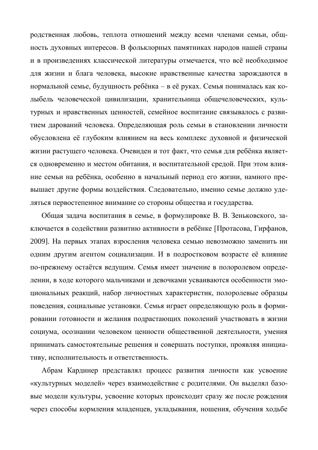родственная любовь, теплота отношений между всеми членами семьи, общность духовных интересов. В фольклорных памятниках народов нашей страны и в произведениях классической литературы отмечается, что всё необходимое для жизни и блага человека, высокие нравственные качества зарождаются в нормальной семье, будущность ребёнка – в её руках. Семья понималась как колыбель человеческой цивилизации, хранительница общечеловеческих, культурных и нравственных ценностей, семейное воспитание связывалось с развитием дарований человека. Определяющая роль семьи в становлении личности обусловлена её глубоким влиянием на весь комплекс духовной и физической жизни растущего человека. Очевиден и тот факт, что семья для ребёнка является одновременно и местом обитания, и воспитательной средой. При этом влияние семьи на ребёнка, особенно в начальный период его жизни, намного превышает другие формы воздействия. Следовательно, именно семье должно уделяться первостепенное внимание со стороны общества и государства.

Общая задача воспитания в семье, в формулировке В. В. Зеньковского, заключается в содействии развитию активности в ребёнке [Протасова, Гирфанов, 2009]. На первых этапах взросления человека семью невозможно заменить ни одним другим агентом социализации. И в подростковом возрасте её влияние по-прежнему остаётся ведущим. Семья имеет значение в полоролевом определении, в ходе которого мальчиками и девочками усваиваются особенности эмоциональных реакций, набор личностных характеристик, полоролевые образцы поведения, социальные установки. Семья играет определяющую роль в формировании готовности и желания подрастающих поколений участвовать в жизни социума, осознании человеком ценности общественной деятельности, умения принимать самостоятельные решения и совершать поступки, проявляя инициативу, исполнительность и ответственность.

Абрам Кардинер представлял процесс развития личности как усвоение «культурных моделей» через взаимодействие с родителями. Он выделял базовые модели культуры, усвоение которых происходит сразу же после рождения через способы кормления младенцев, укладывания, ношения, обучения ходьбе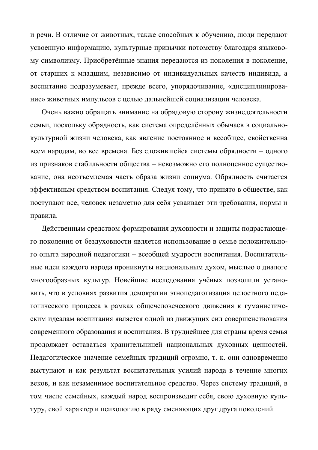и речи. В отличие от животных, также способных к обучению, люди передают усвоенную информацию, культурные привычки потомству благодаря языковому символизму. Приобретённые знания передаются из поколения в поколение, от старших к младшим, независимо от индивидуальных качеств индивида, а воспитание подразумевает, прежде всего, упорядочивание, «дисциплинирование» животных импульсов с целью дальнейшей социализации человека.

Очень важно обращать внимание на обрядовую сторону жизнедеятельности семьи, поскольку обрядность, как система определённых обычаев в социальнокультурной жизни человека, как явление постоянное и всеобщее, свойственна всем народам, во все времена. Без сложившейся системы обрядности – одного из признаков стабильности общества - невозможно его полноценное существование, она неотъемлемая часть образа жизни социума. Обрядность считается эффективным средством воспитания. Следуя тому, что принято в обществе, как поступают все, человек незаметно для себя усваивает эти требования, нормы и правила.

Действенным средством формирования духовности и защиты подрастающего поколения от бездуховности является использование в семье положительного опыта народной педагогики – всеобщей мудрости воспитания. Воспитательные идеи каждого народа проникнуты национальным духом, мыслью о диалоге многообразных культур. Новейшие исследования учёных позволили установить, что в условиях развития демократии этнопедагогизация целостного педагогического процесса в рамках общечеловеческого движения к гуманистическим идеалам воспитания является одной из движущих сил совершенствования современного образования и воспитания. В труднейшее для страны время семья продолжает оставаться хранительницей национальных духовных ценностей. Педагогическое значение семейных традиций огромно, т. к. они одновременно выступают и как результат воспитательных усилий народа в течение многих веков, и как незаменимое воспитательное средство. Через систему традиций, в том числе семейных, каждый народ воспроизводит себя, свою духовную культуру, свой характер и психологию в ряду сменяющих друг друга поколений.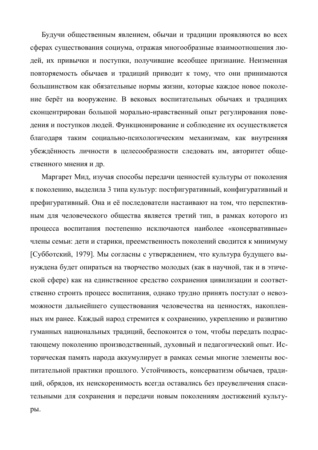Будучи общественным явлением, обычаи и традиции проявляются во всех сферах существования социума, отражая многообразные взаимоотношения людей, их привычки и поступки, получившие всеобщее признание. Неизменная повторяемость обычаев и традиций приводит к тому, что они принимаются большинством как обязательные нормы жизни, которые каждое новое поколение берёт на вооружение. В вековых воспитательных обычаях и традициях сконцентрирован большой морально-нравственный опыт регулирования поведения и поступков людей. Функционирование и соблюдение их осуществляется благодаря таким социально-психологическим механизмам, как внутренняя үбеждённость личности в целесообразности следовать им, авторитет общественного мнения и др.

Маргарет Мид, изучая способы передачи ценностей культуры от поколения к поколению, выделила 3 типа культур: постфигуративный, конфигуративный и префигуративный. Она и её последователи настаивают на том, что перспективным для человеческого общества является третий тип, в рамках которого из процесса воспитания постепенно исключаются наиболее «консервативные» члены семьи: дети и старики, преемственность поколений сводится к минимуму [Субботский, 1979]. Мы согласны с утверждением, что культура будущего вынуждена будет опираться на творчество молодых (как в научной, так и в этической сфере) как на единственное средство сохранения цивилизации и соответственно строить процесс воспитания, однако трудно принять постулат о невозможности дальнейшего существования человечества на ценностях, накопленных им ранее. Каждый народ стремится к сохранению, укреплению и развитию гуманных национальных традиций, беспокоится о том, чтобы передать подрастающему поколению производственный, духовный и педагогический опыт. Историческая память народа аккумулирует в рамках семьи многие элементы воспитательной практики прошлого. Устойчивость, консерватизм обычаев, традиций, обрядов, их неискоренимость всегда оставались без преувеличения спасительными для сохранения и передачи новым поколениям достижений культуры.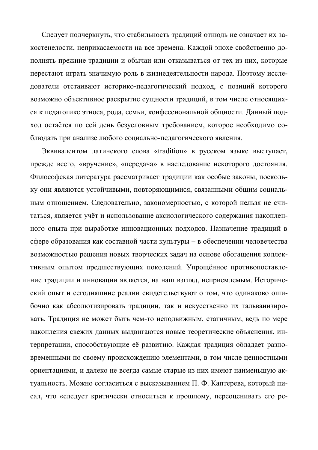Следует подчеркнуть, что стабильность традиций отнюдь не означает их закостенелости, неприкасаемости на все времена. Каждой эпохе свойственно дополнять прежние традиции и обычаи или отказываться от тех из них, которые перестают играть значимую роль в жизнедеятельности народа. Поэтому исследователи отстаивают историко-педагогический подход, с позиций которого возможно объективное раскрытие сущности традиций, в том числе относящихся к педагогике этноса, рода, семьи, конфессиональной общности. Данный подход остаётся по сей день безусловным требованием, которое необходимо соблюдать при анализе любого социально-педагогического явления.

Эквивалентом латинского слова «tradition» в русском языке выступает, прежде всего, «вручение», «передача» в наследование некоторого достояния. Философская литература рассматривает традиции как особые законы, поскольку они являются устойчивыми, повторяющимися, связанными общим социальным отношением. Следовательно, закономерностью, с которой нельзя не считаться, является учёт и использование аксиологического содержания накопленного опыта при выработке инновационных подходов. Назначение традиций в сфере образования как составной части культуры – в обеспечении человечества возможностью решения новых творческих задач на основе обогащения коллективным опытом предшествующих поколений. Упрощённое противопоставление традиции и инновации является, на наш взгляд, неприемлемым. Исторический опыт и сегодняшние реалии свидетельствуют о том, что одинаково ошибочно как абсолютизировать традиции, так и искусственно их гальванизировать. Традиция не может быть чем-то неподвижным, статичным, ведь по мере накопления свежих данных выдвигаются новые теоретические объяснения, интерпретации, способствующие её развитию. Каждая традиция обладает разновременными по своему происхождению элементами, в том числе ценностными ориентациями, и далеко не всегда самые старые из них имеют наименьшую актуальность. Можно согласиться с высказыванием П. Ф. Каптерева, который писал, что «следует критически относиться к прошлому, переоценивать его ре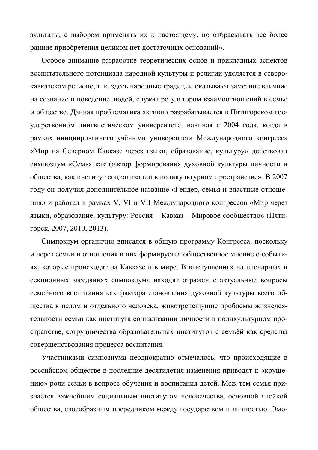зультаты, с выбором применять их к настоящему, но отбрасывать все более ранние приобретения целиком нет достаточных оснований».

Особое внимание разработке теоретических основ и прикладных аспектов воспитательного потенциала народной культуры и религии уделяется в северокавказском регионе, т. к. здесь народные традиции оказывают заметное влияние на сознание и поведение людей, служат регулятором взаимоотношений в семье и обществе. Данная проблематика активно разрабатывается в Пятигорском государственном лингвистическом университете, начиная с 2004 года, когда в рамках инициированного учёными университета Международного конгресса «Мир на Северном Кавказе через языки, образование, культуру» действовал симпозиум «Семья как фактор формирования духовной культуры личности и общества, как институт социализации в поликультурном пространстве». В 2007 году он получил дополнительное название «Гендер, семья и властные отношения» и работал в рамках V, VI и VII Международного конгрессов «Мир через языки, образование, культуру: Россия – Кавказ – Мировое сообщество» (Пятигорск, 2007, 2010, 2013).

Симпозиум органично вписался в общую программу Конгресса, поскольку и через семьи и отношения в них формируется общественное мнение о событиях, которые происходят на Кавказе и в мире. В выступлениях на пленарных и секционных заседаниях симпозиума находят отражение актуальные вопросы семейного воспитания как фактора становления духовной культуры всего общества в целом и отдельного человека, животрепещущие проблемы жизнедеятельности семьи как института социализации личности в поликультурном пространстве, сотрудничества образовательных институтов с семьёй как средства совершенствования процесса воспитания.

Участниками симпозиума неоднократно отмечалось, что происходящие в российском обществе в последние десятилетия изменения приводят к «крушению» роли семьи в вопросе обучения и воспитания детей. Меж тем семья признаётся важнейшим социальным институтом человечества, основной ячейкой общества, своеобразным посредником между государством и личностью. Эмо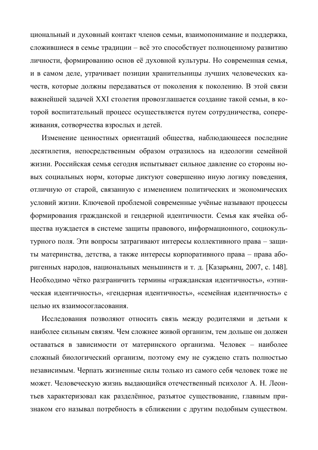циональный и духовный контакт членов семьи, взаимопонимание и поддержка, сложившиеся в семье традиции – всё это способствует полноценному развитию личности, формированию основ её духовной культуры. Но современная семья, и в самом деле, утрачивает позиции хранительницы лучших человеческих качеств, которые должны передаваться от поколения к поколению. В этой связи важнейшей задачей XXI столетия провозглашается создание такой семьи, в которой воспитательный процесс осуществляется путем сотрудничества, сопереживания, сотворчества взрослых и детей.

Изменение ценностных ориентаций общества, наблюдающееся последние десятилетия, непосредственным образом отразилось на идеологии семейной жизни. Российская семья сегодня испытывает сильное давление со стороны новых социальных норм, которые диктуют совершенно иную логику поведения, отличную от старой, связанную с изменением политических и экономических условий жизни. Ключевой проблемой современные учёные называют процессы формирования гражданской и гендерной идентичности. Семья как ячейка общества нуждается в системе защиты правового, информационного, социокультурного поля. Эти вопросы затрагивают интересы коллективного права – защиты материнства, детства, а также интересы корпоративного права – права аборигенных народов, национальных меньшинств и т. д. [Казарьянц, 2007, с. 148]. Необходимо чётко разграничить термины «гражданская идентичность», «этническая идентичность», «гендерная идентичность», «семейная идентичность» с целью их взаимосогласования.

Исследования позволяют относить связь между родителями и детьми к наиболее сильным связям. Чем сложнее живой организм, тем дольше он должен оставаться в зависимости от материнского организма. Человек – наиболее сложный биологический организм, поэтому ему не суждено стать полностью независимым. Черпать жизненные силы только из самого себя человек тоже не может. Человеческую жизнь выдающийся отечественный психолог А. Н. Леонтьев характеризовал как разделённое, разъятое существование, главным признаком его называл потребность в сближении с другим подобным существом.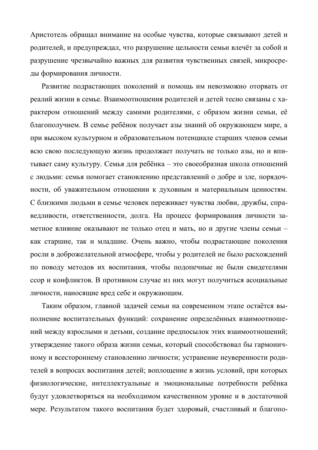Аристотель обращал внимание на особые чувства, которые связывают детей и родителей, и предупреждал, что разрушение цельности семьи влечёт за собой и разрушение чрезвычайно важных для развития чувственных связей, микросреды формирования личности.

Развитие подрастающих поколений и помощь им невозможно оторвать от реалий жизни в семье. Взаимоотношения родителей и детей тесно связаны с характером отношений между самими родителями, с образом жизни семьи, её благополучием. В семье ребёнок получает азы знаний об окружающем мире, а при высоком культурном и образовательном потенциале старших членов семьи всю свою последующую жизнь продолжает получать не только азы, но и впитывает саму культуру. Семья для ребёнка – это своеобразная школа отношений с людьми: семья помогает становлению представлений о добре и зле, порядочности, об уважительном отношении к духовным и материальным ценностям. С близкими людьми в семье человек переживает чувства любви, дружбы, справедливости, ответственности, долга. На процесс формирования личности заметное влияние оказывают не только отец и мать, но и другие члены семьи как старшие, так и младшие. Очень важно, чтобы подрастающие поколения росли в доброжелательной атмосфере, чтобы у родителей не было расхождений по поводу методов их воспитания, чтобы подопечные не были свидетелями ссор и конфликтов. В противном случае из них могут получиться асоциальные личности, наносящие вред себе и окружающим.

Таким образом, главной задачей семьи на современном этапе остаётся выполнение воспитательных функций: сохранение определённых взаимоотношений между взрослыми и детьми, создание предпосылок этих взаимоотношений; утверждение такого образа жизни семьи, который способствовал бы гармоничному и всестороннему становлению личности; устранение неуверенности родителей в вопросах воспитания детей; воплощение в жизнь условий, при которых физиологические, интеллектуальные и эмоциональные потребности ребёнка будут удовлетворяться на необходимом качественном уровне и в достаточной мере. Результатом такого воспитания будет здоровый, счастливый и благопо